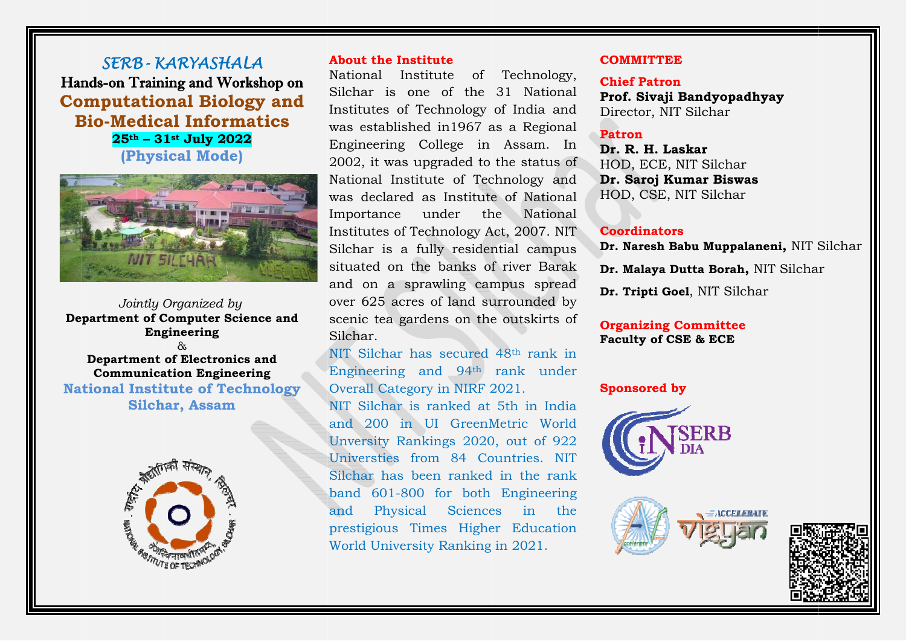SERB-KARYASHALA Hands-on Training and Workshop on **Computational Biology and Bio-Medical Informatics**  $25^{\text{th}} - 31^{\text{st}}$  July 2022 (Physical Mode)



Jointly Organized by **Department of Computer Science and** Engineering

Department of Electronics and **Communication Engineering National Institute of Technology Silchar, Assam** 



#### **About the Institute**

National Institute of Technology, Silchar is one of the 31 National Institutes of Technology of India and was established in 1967 as a Regional Engineering College in Assam. In 2002, it was upgraded to the status of National Institute of Technology and was declared as Institute of National Importance under the National Institutes of Technology Act, 2007. NIT Silchar is a fully residential campus situated on the banks of river Barak and on a sprawling campus spread over 625 acres of land surrounded by scenic tea gardens on the outskirts of Silchar

NIT Silchar has secured 48<sup>th</sup> rank in Engineering and 94<sup>th</sup> rank under Overall Category in NIRF 2021.

NIT Silchar is ranked at 5th in India and 200 in UI GreenMetric World Unversity Rankings 2020, out of 922 Universties from 84 Countries. NIT Silchar has been ranked in the rank band 601-800 for both Engineering and Physical Sciences in  $the$ prestigious Times Higher Education World University Ranking in 2021.

#### **COMMITTEE**

**Chief Patron** Prof. Sivaii Bandvopadhvav Director, NIT Silchar

## **Patron**

Dr. R. H. Laskar HOD, ECE, NIT Silchar Dr. Saroj Kumar Biswas HOD, CSE, NIT Silchar

#### **Coordinators**

Dr. Naresh Babu Muppalaneni. NIT Silchar

Dr. Malaya Dutta Borah, NIT Silchar

Dr. Tripti Goel, NIT Silchar

## **Organizing Committee Faculty of CSE & ECE**

### **Sponsored by**





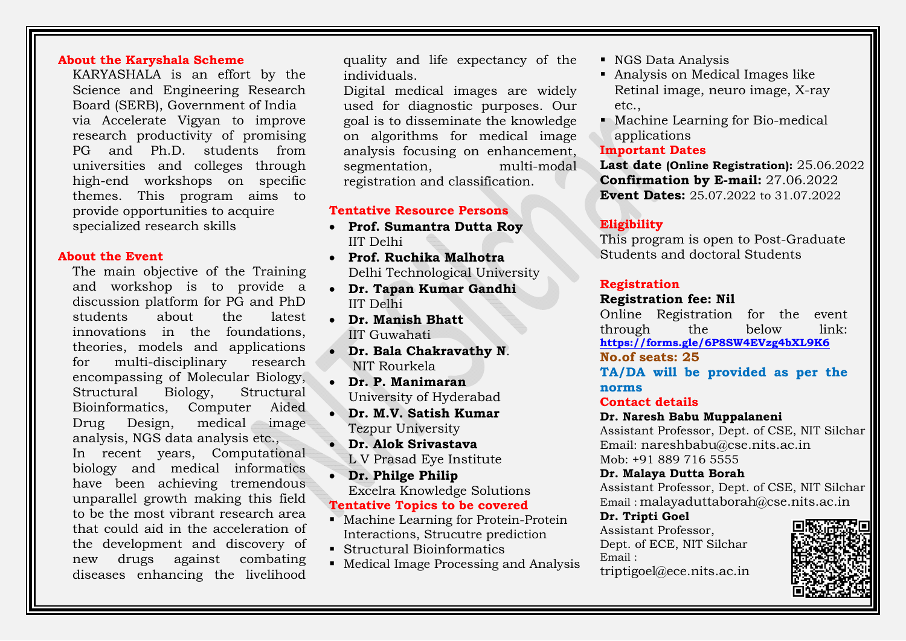## **About the Karyshala Scheme**

KARYASHALA is an effort by the Science and Engineering Research Board (SERB), Government of India via Accelerate Vigyan to improve research productivity of promising PG and Ph.D. students from universities and colleges through high-end workshops on specific themes. This program aims to provide opportunities to acquire specialized research skills

#### **About the Event**

The main objective of the Training and workshop is to provide a discussion platform for PG and PhD students about the latest innovations in the foundations, theories, models and applications for multi-disciplinary research encompassing of Molecular Biology, Structural Biology, Structural Bioinformatics, Computer Aided  $Drug$  Design, medical image analysis, NGS data analysis etc., In recent years, Computational biology and medical informatics have been achieving tremendous unparallel growth making this field to be the most vibrant research area that could aid in the acceleration of the development and discovery of new drugs against combating diseases enhancing the livelihood

quality and life expectancy of the individuals.

Digital medical images are widely used for diagnostic purposes. Our goal is to disseminate the knowledge on algorithms for medical image analysis focusing on enhancement, segmentation, multi-modal registration and classification.

#### **Tentative Resource Persons**

- **Prof. Sumantra Dutta Roy**  IIT Delhi
- **Prof. Ruchika Malhotra**Delhi Technological University
- **Dr. Tapan Kumar Gandhi**  IIT Delhi
- **Dr. Manish Bhatt**  IIT Guwahati
- **Dr. Bala Chakravathy N**. NIT Rourkela
- **Dr. P. Manimaran**University of Hyderabad
- **Dr. M.V. Satish Kumar** Tezpur University
- **Dr. Alok Srivastava**  L V Prasad Eye Institute
- **Dr. Philge Philip**  Excelra Knowledge Solutions **Tentative Topics to be covered**
- Machine Learning for Protein-Protein Interactions, Strucutre prediction
- Structural Bioinformatics
- **Medical Image Processing and Analysis**
- NGS Data Analysis
- Analysis on Medical Images like Retinal image, neuro image, X-ray etc.,
- Machine Learning for Bio-medical applications

#### **Important Dates**

**Last date (Online Registration):** 25.06.2022 **Confirmation by E-mail:** 27.06.2022 **Event Dates:** 25.07.2022 to 31.07.2022

# **Eligibility**

This program is open to Post-Graduate Students and doctoral Students

## **Registration**

## **Registration fee: Nil**

Online Registration for the event through the below link: **https://forms.gle/6P8SW4EVzg4bXL9K6 No.of seats: 25** 

**TA/DA will be provided as per the norms** 

#### **Contact details**

#### **Dr. Naresh Babu Muppalaneni**

Assistant Professor, Dept. of CSE, NIT Silchar Email: nareshbabu@cse.nits.ac.in Mob: +91 889 716 5555

**Dr. Malaya Dutta Borah** 

Assistant Professor, Dept. of CSE, NIT Silchar Email : malayaduttaborah@cse.nits.ac.in

#### **Dr. Tripti Goel**

Assistant Professor, Dept. of ECE, NIT Silchar  $E$ mail  $\cdot$ 



triptigoel@ece.nits.ac.in